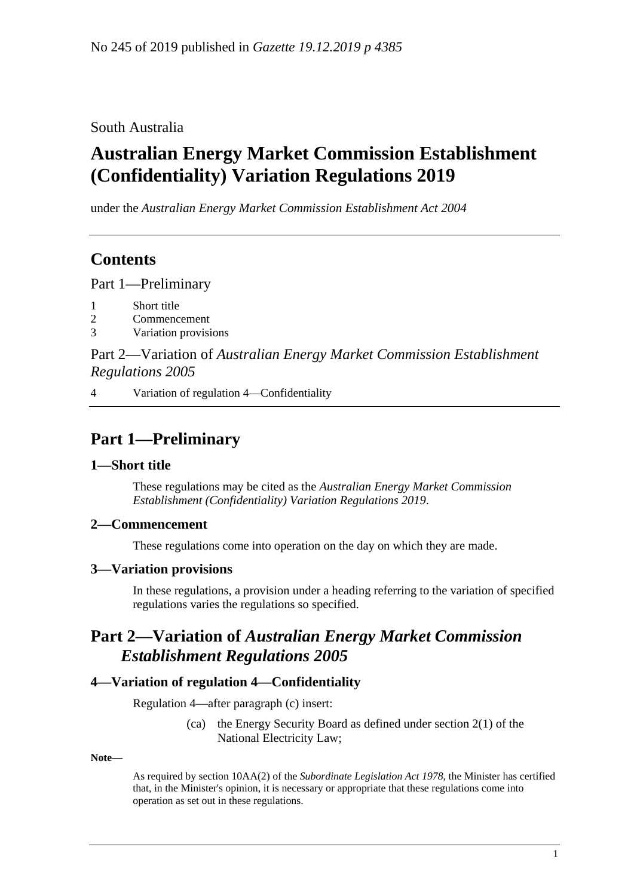South Australia

# **Australian Energy Market Commission Establishment (Confidentiality) Variation Regulations 2019**

under the *Australian Energy Market Commission Establishment Act 2004*

## **Contents**

Part [1—Preliminary](#page-0-0)

- 1 [Short title](#page-0-1)
- 2 [Commencement](#page-0-2)
- 3 [Variation provisions](#page-0-3)

Part 2—Variation of *[Australian Energy Market Commission Establishment](#page-0-4)  [Regulations](#page-0-4) 2005*

4 [Variation of regulation 4—Confidentiality](#page-0-5)

## <span id="page-0-0"></span>**Part 1—Preliminary**

#### <span id="page-0-1"></span>**1—Short title**

These regulations may be cited as the *Australian Energy Market Commission Establishment (Confidentiality) Variation Regulations 2019*.

#### <span id="page-0-2"></span>**2—Commencement**

These regulations come into operation on the day on which they are made.

### <span id="page-0-3"></span>**3—Variation provisions**

In these regulations, a provision under a heading referring to the variation of specified regulations varies the regulations so specified.

### <span id="page-0-4"></span>**Part 2—Variation of** *Australian Energy Market Commission Establishment Regulations 2005*

#### <span id="page-0-5"></span>**4—Variation of regulation 4—Confidentiality**

Regulation 4—after paragraph (c) insert:

(ca) the Energy Security Board as defined under section 2(1) of the National Electricity Law;

**Note—**

As required by section 10AA(2) of the *[Subordinate Legislation Act](http://www.legislation.sa.gov.au/index.aspx?action=legref&type=act&legtitle=Subordinate%20Legislation%20Act%201978) 1978*, the Minister has certified that, in the Minister's opinion, it is necessary or appropriate that these regulations come into operation as set out in these regulations.